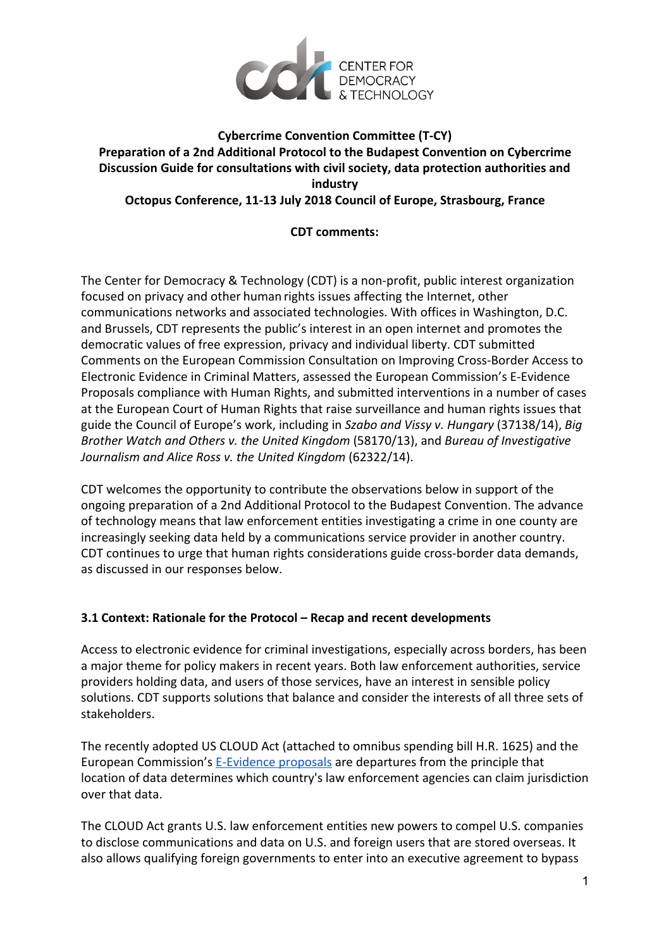

# **Cybercrime Convention Committee (T-CY) Preparation of a 2nd Additional Protocol to the Budapest Convention on Cybercrime Discussion Guide for consultations with civil society, data protection authorities and industry Octopus Conference, 11-13 July 2018 Council of Europe, Strasbourg, France**

## **CDT comments:**

The Center for Democracy & Technology (CDT) is a non-profit, public interest organization focused on privacy and other human rights issues affecting the Internet, other communications networks and associated technologies. With offices in Washington, D.C. and Brussels, CDT represents the public's interest in an open internet and promotes the democratic values of free expression, privacy and individual liberty. CDT submitted Comments on the European Commission Consultation on Improving Cross-Border Access to Electronic Evidence in Criminal Matters, assessed the European Commission's E-Evidence Proposals compliance with Human Rights, and submitted interventions in a number of cases at the European Court of Human Rights that raise surveillance and human rights issues that guide the Council of Europe's work, including in *Szabo and Vissy v. Hungary* (37138/14), *Big Brother Watch and Others v. the United Kingdom* (58170/13), and *Bureau of Investigative Journalism and Alice Ross v. the United Kingdom* (62322/14).

CDT welcomes the opportunity to contribute the observations below in support of the ongoing preparation of a 2nd Additional Protocol to the Budapest Convention. The advance of technology means that law enforcement entities investigating a crime in one county are increasingly seeking data held by a communications service provider in another country. CDT continues to urge that human rights considerations guide cross-border data demands, as discussed in our responses below.

## **3.1 Context: Rationale for the Protocol – Recap and recent developments**

Access to electronic evidence for criminal investigations, especially across borders, has been a major theme for policy makers in recent years. Both law enforcement authorities, service providers holding data, and users of those services, have an interest in sensible policy solutions. CDT supports solutions that balance and consider the interests of all three sets of stakeholders.

The recently adopted US CLOUD Act (attached to omnibus spending bill H.R. 1625) and the European Commission's **E-Evidence proposals** are departures from the principle that location of data determines which country's law enforcement agencies can claim jurisdiction over that data.

The CLOUD Act grants U.S. law enforcement entities new powers to compel U.S. companies to disclose communications and data on U.S. and foreign users that are stored overseas. It also allows qualifying foreign governments to enter into an executive agreement to bypass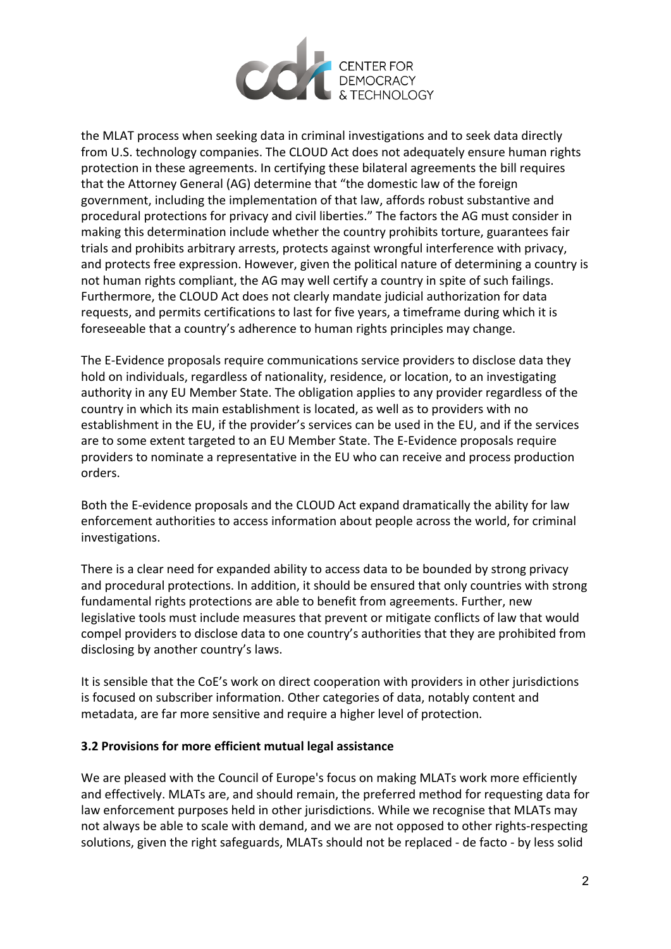

the MLAT process when seeking data in criminal investigations and to seek data directly from U.S. technology companies. The CLOUD Act does not adequately ensure human rights protection in these agreements. In certifying these bilateral agreements the bill requires that the Attorney General (AG) determine that "the domestic law of the foreign government, including the implementation of that law, affords robust substantive and procedural protections for privacy and civil liberties." The factors the AG must consider in making this determination include whether the country prohibits torture, guarantees fair trials and prohibits arbitrary arrests, protects against wrongful interference with privacy, and protects free expression. However, given the political nature of determining a country is not human rights compliant, the AG may well certify a country in spite of such failings. Furthermore, the CLOUD Act does not clearly mandate judicial authorization for data requests, and permits certifications to last for five years, a timeframe during which it is foreseeable that a country's adherence to human rights principles may change.

The E-Evidence proposals require communications service providers to disclose data they hold on individuals, regardless of nationality, residence, or location, to an investigating authority in any EU Member State. The obligation applies to any provider regardless of the country in which its main establishment is located, as well as to providers with no establishment in the EU, if the provider's services can be used in the EU, and if the services are to some extent targeted to an EU Member State. The E-Evidence proposals require providers to nominate a representative in the EU who can receive and process production orders.

Both the E-evidence proposals and the CLOUD Act expand dramatically the ability for law enforcement authorities to access information about people across the world, for criminal investigations.

There is a clear need for expanded ability to access data to be bounded by strong privacy and procedural protections. In addition, it should be ensured that only countries with strong fundamental rights protections are able to benefit from agreements. Further, new legislative tools must include measures that prevent or mitigate conflicts of law that would compel providers to disclose data to one country's authorities that they are prohibited from disclosing by another country's laws.

It is sensible that the CoE's work on direct cooperation with providers in other jurisdictions is focused on subscriber information. Other categories of data, notably content and metadata, are far more sensitive and require a higher level of protection.

## **3.2 Provisions for more efficient mutual legal assistance**

We are pleased with the Council of Europe's focus on making MLATs work more efficiently and effectively. MLATs are, and should remain, the preferred method for requesting data for law enforcement purposes held in other jurisdictions. While we recognise that MLATs may not always be able to scale with demand, and we are not opposed to other rights-respecting solutions, given the right safeguards, MLATs should not be replaced - de facto - by less solid